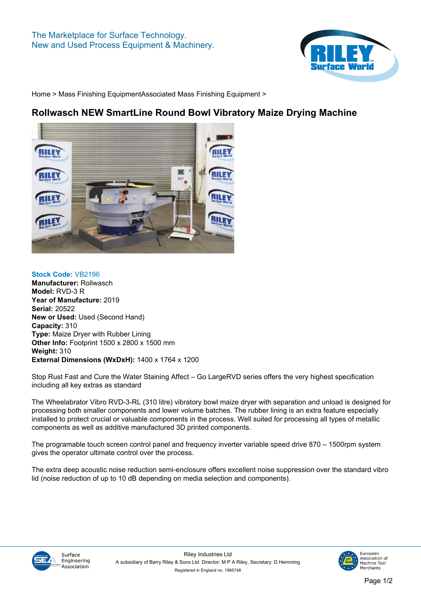

**[Home](https://www.rileysurfaceworld.co.uk) > [Mass Finishing Equipment](https://www.rileysurfaceworld.co.uk/mass-finishing.asp)[Associated Mass Finishing Equipment](https://www.rileysurfaceworld.co.uk/mass-finishing-associated.asp) >**

## **Rollwasch NEW SmartLine Round Bowl Vibratory Maize Drying Machine**



**Stock Code: VB2196 Manufacturer: Rollwasch Model: RVD-3 R Year of Manufacture: 2019 Serial: 20522 New or Used: Used (Second Hand) Capacity: 310 Type: Maize Dryer with Rubber Lining Other Info: Footprint 1500 x 2800 x 1500 mm Weight: 310 External Dimensions (WxDxH): 1400 x 1764 x 1200**

**Stop Rust Fast and Cure the Water Staining Affect – Go LargeRVD series offers the very highest specification including all key extras as standard**

**The Wheelabrator Vibro RVD-3-RL (310 litre) vibratory bowl maize dryer with separation and unload is designed for processing both smaller components and lower volume batches. The rubber lining is an extra feature especially installed to protect crucial or valuable components in the process. Well suited for processing all types of metallic components as well as additive manufactured 3D printed components.**

**The programable touch screen control panel and frequency inverter variable speed drive 870 – 1500rpm system gives the operator ultimate control over the process.**

**The extra deep acoustic noise reduction semi-enclosure offers excellent noise suppression over the standard vibro lid (noise reduction of up to 10 dB depending on media selection and components).**